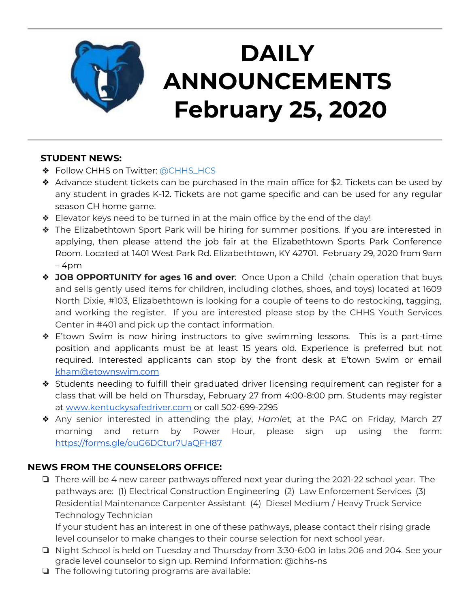

# **DAILY ANNOUNCEMENTS February 25, 2020**

## **STUDENT NEWS:**

- ❖ Follow CHHS on Twitter: [@CHHS\\_HCS](https://twitter.com/CHHS_HCS)
- ❖ Advance student tickets can be purchased in the main office for \$2. Tickets can be used by any student in grades K-12. Tickets are not game specific and can be used for any regular season CH home game.
- ❖ Elevator keys need to be turned in at the main office by the end of the day!
- ❖ The Elizabethtown Sport Park will be hiring for summer positions. If you are interested in applying, then please attend the job fair at the Elizabethtown Sports Park Conference Room. Located at 1401 West Park Rd. Elizabethtown, KY 42701. February 29, 2020 from 9am  $-4$ pm
- ❖ **JOB OPPORTUNITY for ages 16 and over**: Once Upon a Child (chain operation that buys and sells gently used items for children, including clothes, shoes, and toys) located at 1609 North Dixie, #103, Elizabethtown is looking for a couple of teens to do restocking, tagging, and working the register. If you are interested please stop by the CHHS Youth Services Center in #401 and pick up the contact information.
- ❖ E'town Swim is now hiring instructors to give swimming lessons. This is a part-time position and applicants must be at least 15 years old. Experience is preferred but not required. Interested applicants can stop by the front desk at E'town Swim or email [kham@etownswim.com](mailto:kham@etownswim.com)
- ❖ Students needing to fulfill their graduated driver licensing requirement can register for a class that will be held on Thursday, February 27 from 4:00-8:00 pm. Students may register at [www.kentuckysafedriver.com](http://www.kentuckysafedriver.com/) or call 502-699-2295
- ❖ Any senior interested in attending the play, *Hamlet,* at the PAC on Friday, March 27 morning and return by Power Hour, please sign up using the form: <https://forms.gle/ouG6DCtur7UaQFH87>

# **NEWS FROM THE COUNSELORS OFFICE:**

❏ There will be 4 new career pathways offered next year during the 2021-22 school year. The pathways are: (1) Electrical Construction Engineering (2) Law Enforcement Services (3) Residential Maintenance Carpenter Assistant (4) Diesel Medium / Heavy Truck Service Technology Technician

If your student has an interest in one of these pathways, please contact their rising grade level counselor to make changes to their course selection for next school year.

- ❏ Night School is held on Tuesday and Thursday from 3:30-6:00 in labs 206 and 204. See your grade level counselor to sign up. Remind Information: @chhs-ns
- ❏ The following tutoring programs are available: